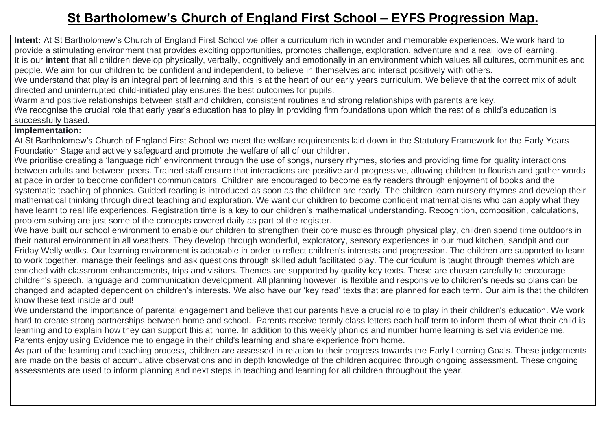## **St Bartholomew's Church of England First School – EYFS Progression Map.**

**Intent:** At St Bartholomew's Church of England First School we offer a curriculum rich in wonder and memorable experiences. We work hard to provide a stimulating environment that provides exciting opportunities, promotes challenge, exploration, adventure and a real love of learning. It is our **intent** that all children develop physically, verbally, cognitively and emotionally in an environment which values all cultures, communities and people. We aim for our children to be confident and independent, to believe in themselves and interact positively with others.

We understand that play is an integral part of learning and this is at the heart of our early years curriculum. We believe that the correct mix of adult directed and uninterrupted child-initiated play ensures the best outcomes for pupils.

Warm and positive relationships between staff and children, consistent routines and strong relationships with parents are key.

We recognise the crucial role that early year's education has to play in providing firm foundations upon which the rest of a child's education is successfully based.

## **Implementation:**

At St Bartholomew's Church of England First School we meet the welfare requirements laid down in the Statutory Framework for the Early Years Foundation Stage and actively safeguard and promote the welfare of all of our children.

We prioritise creating a 'language rich' environment through the use of songs, nursery rhymes, stories and providing time for quality interactions between adults and between peers. Trained staff ensure that interactions are positive and progressive, allowing children to flourish and gather words at pace in order to become confident communicators. Children are encouraged to become early readers through enjoyment of books and the systematic teaching of phonics. Guided reading is introduced as soon as the children are ready. The children learn nursery rhymes and develop their mathematical thinking through direct teaching and exploration. We want our children to become confident mathematicians who can apply what they have learnt to real life experiences. Registration time is a key to our children's mathematical understanding. Recognition, composition, calculations, problem solving are just some of the concepts covered daily as part of the register.

We have built our school environment to enable our children to strengthen their core muscles through physical play, children spend time outdoors in their natural environment in all weathers. They develop through wonderful, exploratory, sensory experiences in our mud kitchen, sandpit and our Friday Welly walks. Our learning environment is adaptable in order to reflect children's interests and progression. The children are supported to learn to work together, manage their feelings and ask questions through skilled adult facilitated play. The curriculum is taught through themes which are enriched with classroom enhancements, trips and visitors. Themes are supported by quality key texts. These are chosen carefully to encourage children's speech, language and communication development. All planning however, is flexible and responsive to children's needs so plans can be changed and adapted dependent on children's interests. We also have our 'key read' texts that are planned for each term. Our aim is that the children know these text inside and out!

We understand the importance of parental engagement and believe that our parents have a crucial role to play in their children's education. We work hard to create strong partnerships between home and school. Parents receive termly class letters each half term to inform them of what their child is learning and to explain how they can support this at home. In addition to this weekly phonics and number home learning is set via evidence me. Parents enjoy using Evidence me to engage in their child's learning and share experience from home.

As part of the learning and teaching process, children are assessed in relation to their progress towards the Early Learning Goals. These judgements are made on the basis of accumulative observations and in depth knowledge of the children acquired through ongoing assessment. These ongoing assessments are used to inform planning and next steps in teaching and learning for all children throughout the year.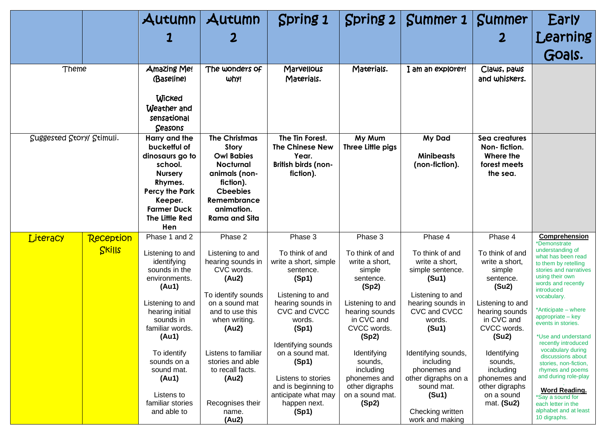|                           |           | Autumn                                                                                                                                                                      | Autumn                                                                                                                                                                              | Spring 1                                                                                                                          | Spring $2$                                                                                                            | Summer 1                                                                                                                          | <b>Summer</b>                                                                                                         | Early                                                                                                                                                                                                      |
|---------------------------|-----------|-----------------------------------------------------------------------------------------------------------------------------------------------------------------------------|-------------------------------------------------------------------------------------------------------------------------------------------------------------------------------------|-----------------------------------------------------------------------------------------------------------------------------------|-----------------------------------------------------------------------------------------------------------------------|-----------------------------------------------------------------------------------------------------------------------------------|-----------------------------------------------------------------------------------------------------------------------|------------------------------------------------------------------------------------------------------------------------------------------------------------------------------------------------------------|
|                           |           |                                                                                                                                                                             |                                                                                                                                                                                     |                                                                                                                                   |                                                                                                                       |                                                                                                                                   |                                                                                                                       | Learning                                                                                                                                                                                                   |
|                           |           |                                                                                                                                                                             |                                                                                                                                                                                     |                                                                                                                                   |                                                                                                                       |                                                                                                                                   |                                                                                                                       | Goals.                                                                                                                                                                                                     |
| Theme                     |           | Amazing Me!<br>(Baseline)<br><b>Wicked</b><br>Weather and<br>sensational<br>Seasons                                                                                         | The wonders of<br>why!                                                                                                                                                              | Marvellous<br>Materials.                                                                                                          | Materials.                                                                                                            | I am an explorer!                                                                                                                 | Claws, paws<br>and whiskers.                                                                                          |                                                                                                                                                                                                            |
| Suggested Story/ Stimuli. |           | Harry and the<br>bucketful of<br>dinosaurs go to<br>school.<br><b>Nursery</b><br>Rhymes.<br><b>Percy the Park</b><br>Keeper.<br><b>Farmer Duck</b><br>The Little Red<br>Hen | <b>The Christmas</b><br><b>Story</b><br><b>Owl Babies</b><br><b>Nocturnal</b><br>animals (non-<br>fiction).<br><b>Cheebies</b><br>Remembrance<br>animation.<br><b>Rama and Sita</b> | The Tin Forest.<br><b>The Chinese New</b><br>Year.<br>British birds (non-<br>fiction).                                            | My Mum<br>Three Little pigs                                                                                           | My Dad<br><b>Minibeasts</b><br>(non-fiction).                                                                                     | Sea creatures<br>Non-fiction.<br>Where the<br>forest meets<br>the sea.                                                |                                                                                                                                                                                                            |
| Literacy                  | Reception | Phase 1 and 2                                                                                                                                                               | Phase 2                                                                                                                                                                             | Phase 3                                                                                                                           | Phase 3                                                                                                               | Phase 4                                                                                                                           | Phase 4                                                                                                               | Comprehension<br>*Demonstrate                                                                                                                                                                              |
|                           | Skills    | Listening to and<br>identifying<br>sounds in the<br>environments.<br>(Au1)<br>Listening to and<br>hearing initial<br>sounds in                                              | Listening to and<br>hearing sounds in<br>CVC words.<br>(Au2)<br>To identify sounds<br>on a sound mat<br>and to use this<br>when writing.                                            | To think of and<br>write a short, simple<br>sentence.<br>(Sp1)<br>Listening to and<br>hearing sounds in<br>CVC and CVCC<br>words. | To think of and<br>write a short,<br>simple<br>sentence.<br>(Sp2)<br>Listening to and<br>hearing sounds<br>in CVC and | To think of and<br>write a short,<br>simple sentence.<br>(Su1)<br>Listening to and<br>hearing sounds in<br>CVC and CVCC<br>words. | To think of and<br>write a short,<br>simple<br>sentence.<br>(Su2)<br>Listening to and<br>hearing sounds<br>in CVC and | understanding of<br>what has been read<br>to them by retelling<br>stories and narratives<br>using their own<br>words and recently<br>introduced<br>vocabulary.<br>*Anticipate – where<br>appropriate - key |
|                           |           | familiar words.<br>(Au1)                                                                                                                                                    | (Au2)                                                                                                                                                                               | (Sp1)<br>Identifying sounds                                                                                                       | CVCC words.<br>(Sp2)                                                                                                  | (Su1)                                                                                                                             | CVCC words.<br>(Su2)                                                                                                  | events in stories.<br>*Use and understand<br>recently introduced                                                                                                                                           |
|                           |           | To identify<br>sounds on a<br>sound mat.<br>(Au1)                                                                                                                           | Listens to familiar<br>stories and able<br>to recall facts.<br>(Au2)                                                                                                                | on a sound mat.<br>(Sp1)<br>Listens to stories                                                                                    | Identifying<br>sounds,<br>including<br>phonemes and                                                                   | Identifying sounds,<br>including<br>phonemes and<br>other digraphs on a                                                           | Identifying<br>sounds,<br>including<br>phonemes and                                                                   | vocabulary during<br>discussions about<br>stories, non-fiction,<br>rhymes and poems<br>and during role-play                                                                                                |
|                           |           | Listens to<br>familiar stories<br>and able to                                                                                                                               | Recognises their<br>name.<br>(Au2)                                                                                                                                                  | and is beginning to<br>anticipate what may<br>happen next.<br>(Sp1)                                                               | other digraphs<br>on a sound mat.<br>(Sp2)                                                                            | sound mat.<br>(Su1)<br>Checking written<br>work and making                                                                        | other digraphs<br>on a sound<br>mat. (Su2)                                                                            | <b>Word Reading.</b><br>*Say a sound for<br>each letter in the<br>alphabet and at least<br>10 digraphs.                                                                                                    |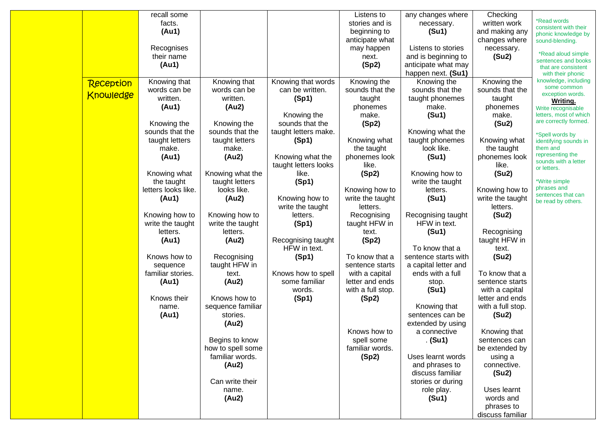|                  | recall some         |                   |                      | Listens to        | any changes where    | Checking          |                                              |
|------------------|---------------------|-------------------|----------------------|-------------------|----------------------|-------------------|----------------------------------------------|
|                  | facts.              |                   |                      | stories and is    | necessary.           | written work      | *Read words                                  |
|                  | (Au1)               |                   |                      | beginning to      | (Su1)                | and making any    | consistent with their<br>phonic knowledge by |
|                  |                     |                   |                      | anticipate what   |                      | changes where     | sound-blending.                              |
|                  | Recognises          |                   |                      | may happen        | Listens to stories   | necessary.        |                                              |
|                  | their name          |                   |                      | next.             | and is beginning to  | (Su2)             | *Read aloud simple                           |
|                  | (Au1)               |                   |                      | (Sp2)             | anticipate what may  |                   | sentences and books<br>that are consistent   |
|                  |                     |                   |                      |                   | happen next. (Su1)   |                   | with their phonic                            |
| Reception        | Knowing that        | Knowing that      | Knowing that words   | Knowing the       | Knowing the          | Knowing the       | knowledge, including                         |
|                  | words can be        | words can be      | can be written.      | sounds that the   | sounds that the      | sounds that the   | some common                                  |
| <b>Knowledge</b> | written.            | written.          | (Sp1)                | taught            | taught phonemes      | taught            | exception words.<br><b>Writing.</b>          |
|                  | (Au1)               | (Au2)             |                      | phonemes          | make.                | phonemes          | Write recognisable                           |
|                  |                     |                   | Knowing the          | make.             | (S <sub>u</sub> 1)   | make.             | letters, most of which                       |
|                  | Knowing the         | Knowing the       | sounds that the      | (Sp2)             |                      | (Su2)             | are correctly formed.                        |
|                  | sounds that the     | sounds that the   | taught letters make. |                   | Knowing what the     |                   | *Spell words by                              |
|                  | taught letters      | taught letters    | (Sp1)                | Knowing what      | taught phonemes      | Knowing what      | identifying sounds in                        |
|                  | make.               | make.             |                      | the taught        | look like.           | the taught        | them and                                     |
|                  | (Au1)               | (Au2)             | Knowing what the     | phonemes look     | (Su1)                | phonemes look     | representing the                             |
|                  |                     |                   | taught letters looks | like.             |                      | like.             | sounds with a letter<br>or letters.          |
|                  | Knowing what        | Knowing what the  | like.                | (Sp2)             | Knowing how to       | (Su2)             |                                              |
|                  | the taught          | taught letters    | (Sp1)                |                   | write the taught     |                   | *Write simple                                |
|                  | letters looks like. | looks like.       |                      | Knowing how to    | letters.             | Knowing how to    | phrases and                                  |
|                  | (Au1)               | (Au2)             | Knowing how to       | write the taught  | (Su1)                | write the taught  | sentences that can<br>be read by others.     |
|                  |                     |                   | write the taught     | letters.          |                      | letters.          |                                              |
|                  | Knowing how to      | Knowing how to    | letters.             | Recognising       | Recognising taught   | (Su2)             |                                              |
|                  | write the taught    | write the taught  | (Sp1)                | taught HFW in     | HFW in text.         |                   |                                              |
|                  | letters.            | letters.          |                      | text.             | (S <sub>u</sub> 1)   | Recognising       |                                              |
|                  | (Au1)               | (Au2)             | Recognising taught   | (Sp2)             |                      | taught HFW in     |                                              |
|                  |                     |                   | HFW in text.         |                   | To know that a       | text.             |                                              |
|                  | Knows how to        | Recognising       | (Sp1)                | To know that a    | sentence starts with | (Su2)             |                                              |
|                  | sequence            | taught HFW in     |                      | sentence starts   | a capital letter and |                   |                                              |
|                  | familiar stories.   | text.             | Knows how to spell   | with a capital    | ends with a full     | To know that a    |                                              |
|                  | (Au1)               | (Au2)             | some familiar        | letter and ends   | stop.                | sentence starts   |                                              |
|                  |                     |                   | words.               | with a full stop. | (S <sub>u</sub> 1)   | with a capital    |                                              |
|                  | Knows their         | Knows how to      | (Sp1)                | (Sp2)             |                      | letter and ends   |                                              |
|                  | name.               | sequence familiar |                      |                   | Knowing that         | with a full stop. |                                              |
|                  | (Au1)               | stories.          |                      |                   | sentences can be     | (Su2)             |                                              |
|                  |                     | (Au2)             |                      |                   | extended by using    |                   |                                              |
|                  |                     |                   |                      | Knows how to      | a connective         | Knowing that      |                                              |
|                  |                     | Begins to know    |                      | spell some        | . (Su1)              | sentences can     |                                              |
|                  |                     | how to spell some |                      | familiar words.   |                      | be extended by    |                                              |
|                  |                     | familiar words.   |                      | (Sp2)             | Uses learnt words    | using a           |                                              |
|                  |                     | (Au2)             |                      |                   | and phrases to       | connective.       |                                              |
|                  |                     |                   |                      |                   | discuss familiar     | (Su2)             |                                              |
|                  |                     | Can write their   |                      |                   | stories or during    |                   |                                              |
|                  |                     | name.             |                      |                   | role play.           | Uses learnt       |                                              |
|                  |                     | (Au2)             |                      |                   | (Su1)                | words and         |                                              |
|                  |                     |                   |                      |                   |                      | phrases to        |                                              |
|                  |                     |                   |                      |                   |                      | discuss familiar  |                                              |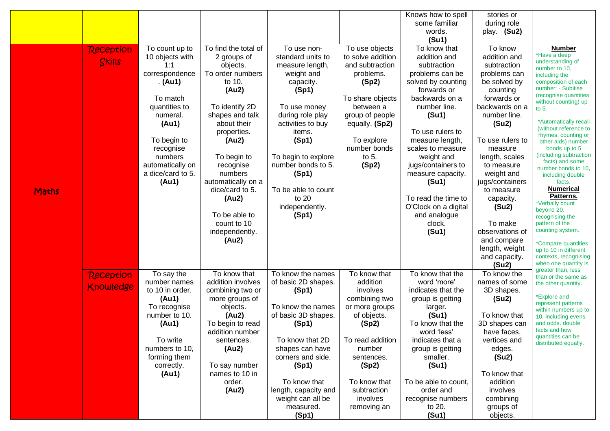|              |                  |                   |                      |                      |                   | Knows how to spell   | stories or       |                                                |
|--------------|------------------|-------------------|----------------------|----------------------|-------------------|----------------------|------------------|------------------------------------------------|
|              |                  |                   |                      |                      |                   | some familiar        | during role      |                                                |
|              |                  |                   |                      |                      |                   | words.               | play. (Su2)      |                                                |
|              |                  |                   |                      |                      |                   | (Su1)                |                  |                                                |
|              | <b>Reception</b> | To count up to    | To find the total of | To use non-          | To use objects    | To know that         | To know          | <b>Number</b>                                  |
|              | <b>SKIIS</b>     | 10 objects with   | 2 groups of          | standard units to    | to solve addition | addition and         | addition and     | *Have a deep<br>understanding of               |
|              |                  | 1:1               | objects.             | measure length,      | and subtraction   | subtraction          | subtraction      | number to 10,                                  |
|              |                  | correspondence    | To order numbers     | weight and           | problems.         | problems can be      | problems can     | including the                                  |
|              |                  | . (Au1)           | to 10.               | capacity.            | (Sp2)             | solved by counting   | be solved by     | composition of each                            |
|              |                  |                   | (Au2)                | (Sp1)                |                   | forwards or          | counting         | number; - Subitise                             |
|              |                  | To match          |                      |                      | To share objects  | backwards on a       | forwards or      | (recognise quantities<br>without counting) up  |
|              |                  | quantities to     | To identify 2D       | To use money         | between a         | number line.         | backwards on a   | to $5.$                                        |
|              |                  | numeral.          | shapes and talk      | during role play     | group of people   | (Su1)                | number line.     |                                                |
|              |                  | (Au1)             | about their          | activities to buy    | equally. (Sp2)    |                      | (Su2)            | *Automatically recall<br>(without reference to |
|              |                  |                   | properties.          | items.               |                   | To use rulers to     |                  | rhymes, counting or                            |
|              |                  | To begin to       | (Au2)                | (Sp1)                | To explore        | measure length,      | To use rulers to | other aids) number                             |
|              |                  | recognise         |                      |                      | number bonds      | scales to measure    | measure          | bonds up to 5                                  |
|              |                  | numbers           | To begin to          | To begin to explore  | to $5.$           | weight and           | length, scales   | (including subtraction<br>facts) and some      |
|              |                  | automatically on  | recognise            | number bonds to 5.   | (Sp2)             | jugs/containers to   | to measure       | number bonds to 10,                            |
|              |                  | a dice/card to 5. | numbers              | (Sp1)                |                   | measure capacity.    | weight and       | including double                               |
|              |                  | (Au1)             | automatically on a   |                      |                   | (Su1)                | jugs/containers  | facts.                                         |
| <b>Maths</b> |                  |                   | dice/card to 5.      | To be able to count  |                   |                      | to measure       | <b>Numerical</b>                               |
|              |                  |                   | (Au2)                | to 20                |                   | To read the time to  | capacity.        | Patterns.<br>*Verbally count                   |
|              |                  |                   |                      | independently.       |                   | O'Clock on a digital | (Su2)            | beyond 20,                                     |
|              |                  |                   | To be able to        | (Sp1)                |                   | and analogue         |                  | recognising the                                |
|              |                  |                   | count to 10          |                      |                   | clock.               | To make          | pattern of the                                 |
|              |                  |                   | independently.       |                      |                   | (Su1)                | observations of  | counting system.                               |
|              |                  |                   | (Au2)                |                      |                   |                      | and compare      | *Compare quantities                            |
|              |                  |                   |                      |                      |                   |                      | length, weight   | up to 10 in different                          |
|              |                  |                   |                      |                      |                   |                      | and capacity.    | contexts, recognising                          |
|              |                  |                   |                      |                      |                   |                      | (Su2)            | when one quantity is<br>greater than, less     |
|              | <b>Reception</b> | To say the        | To know that         | To know the names    | To know that      | To know that the     | To know the      | than or the same as                            |
|              | Knowledge        | number names      | addition involves    | of basic 2D shapes.  | addition          | word 'more'          | names of some    | the other quantity.                            |
|              |                  | to 10 in order.   | combining two or     | (Sp1)                | involves          | indicates that the   | 3D shapes.       | *Explore and                                   |
|              |                  | (Au1)             | more groups of       |                      | combining two     | group is getting     | (Su2)            | represent patterns                             |
|              |                  | To recognise      | objects.             | To know the names    | or more groups    | larger.              |                  | within numbers up to                           |
|              |                  | number to 10.     | (Au2)                | of basic 3D shapes.  | of objects.       | (Su1)                | To know that     | 10, including evens                            |
|              |                  | (Au1)             | To begin to read     | (Sp1)                | (Sp2)             | To know that the     | 3D shapes can    | and odds, double<br>facts and how              |
|              |                  |                   | addition number      |                      |                   | word 'less'          | have faces,      | quantities can be                              |
|              |                  | To write          | sentences.           | To know that 2D      | To read addition  | indicates that a     | vertices and     | distributed equally.                           |
|              |                  | numbers to 10,    | (Au2)                | shapes can have      | number            | group is getting     | edges.           |                                                |
|              |                  | forming them      |                      | corners and side.    | sentences.        | smaller.             | (Su2)            |                                                |
|              |                  | correctly.        | To say number        | (Sp1)                | (Sp2)             | (Su1)                |                  |                                                |
|              |                  | (Au1)             | names to 10 in       |                      |                   |                      | To know that     |                                                |
|              |                  |                   | order.               | To know that         | To know that      | To be able to count, | addition         |                                                |
|              |                  |                   | (Au2)                | length, capacity and | subtraction       | order and            | involves         |                                                |
|              |                  |                   |                      | weight can all be    | involves          | recognise numbers    | combining        |                                                |
|              |                  |                   |                      | measured.            | removing an       | to 20.               | groups of        |                                                |
|              |                  |                   |                      | (Sp1)                |                   | (Su1)                | objects.         |                                                |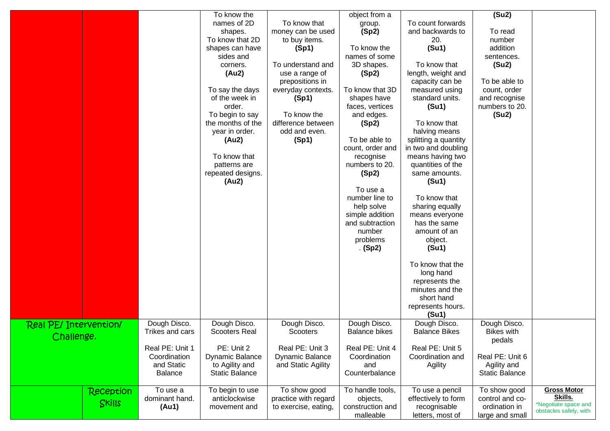| (Su2)<br>To know the<br>object from a<br>names of 2D<br>To count forwards<br>To know that<br>group.<br>(Sp2)<br>and backwards to<br>money can be used<br>To read<br>shapes.<br>To know that 2D<br>to buy items.<br>number<br>20.<br>addition<br>To know the<br>(Su1)<br>shapes can have<br>(Sp1)<br>sides and<br>names of some<br>sentences.<br>To understand and<br>3D shapes.<br>To know that<br>(Su2)<br>corners.<br>(Au2)<br>length, weight and<br>use a range of<br>(Sp2)<br>To be able to<br>prepositions in<br>capacity can be<br>To say the days<br>everyday contexts.<br>To know that 3D<br>measured using<br>count, order<br>standard units.<br>of the week in<br>shapes have<br>and recognise<br>(Sp1)<br>order.<br>faces, vertices<br>(Su1)<br>numbers to 20.<br>To begin to say<br>To know the<br>(Su2)<br>and edges.<br>difference between<br>the months of the<br>(Sp2)<br>To know that<br>odd and even.<br>halving means<br>year in order.<br>(Sp1)<br>To be able to<br>splitting a quantity<br>(Au2)<br>in two and doubling<br>count, order and<br>To know that<br>means having two<br>recognise<br>numbers to 20.<br>quantities of the<br>patterns are |                                                                                 |
|--------------------------------------------------------------------------------------------------------------------------------------------------------------------------------------------------------------------------------------------------------------------------------------------------------------------------------------------------------------------------------------------------------------------------------------------------------------------------------------------------------------------------------------------------------------------------------------------------------------------------------------------------------------------------------------------------------------------------------------------------------------------------------------------------------------------------------------------------------------------------------------------------------------------------------------------------------------------------------------------------------------------------------------------------------------------------------------------------------------------------------------------------------------------------|---------------------------------------------------------------------------------|
| repeated designs.<br>(Sp2)<br>same amounts.<br>(Au2)<br>(Su1)<br>To use a<br>To know that<br>number line to<br>sharing equally<br>help solve<br>simple addition<br>means everyone<br>and subtraction<br>has the same<br>amount of an<br>number<br>problems<br>object.<br>(Su1)<br>(Sp2)<br>To know that the<br>long hand<br>represents the<br>minutes and the<br>short hand<br>represents hours.<br>(S <sub>u</sub> 1)<br>Dough Disco.<br>Dough Disco.<br>Dough Disco.<br>Dough Disco.<br>Dough Disco.<br>Dough Disco.<br>Real PE/ Intervention/<br>Trikes and cars<br><b>Scooters Real</b><br><b>Balance bikes</b><br><b>Balance Bikes</b><br><b>Bikes with</b><br>Scooters<br>Challenge.<br>pedals<br>Real PE: Unit 1<br>PE: Unit 2<br>Real PE: Unit 3<br>Real PE: Unit 4<br>Real PE: Unit 5<br>Dynamic Balance<br>Coordination<br><b>Dynamic Balance</b><br>Coordination<br>Coordination and<br>Real PE: Unit 6<br>and Static<br>to Agility and<br>and Static Agility<br>Agility and<br>and<br>Agility<br><b>Static Balance</b><br><b>Balance</b><br><b>Static Balance</b><br>Counterbalance                                                                          |                                                                                 |
| To begin to use<br>To handle tools,<br>To use a<br>To show good<br>To use a pencil<br>To show good<br><b>Reception</b><br>dominant hand.<br>anticlockwise<br>practice with regard<br>effectively to form<br>objects,<br>control and co-<br>Skills<br>ordination in<br>(Au1)<br>to exercise, eating,<br>construction and<br>recognisable<br>movement and<br>malleable<br>letters, most of<br>large and small                                                                                                                                                                                                                                                                                                                                                                                                                                                                                                                                                                                                                                                                                                                                                              | <b>Gross Motor</b><br>Skills.<br>*Negotiate space and<br>obstacles safely, with |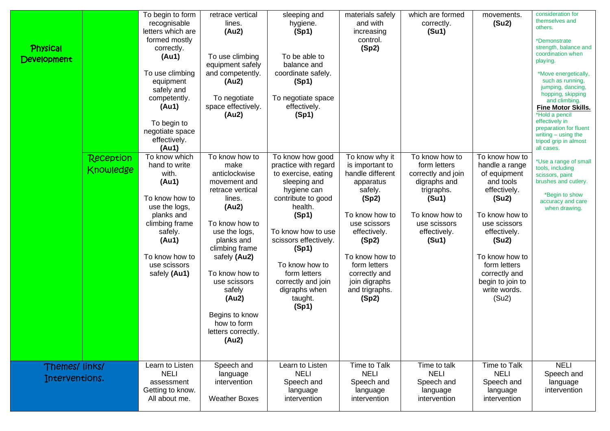| <b>Physical</b><br>Development  |                                      | To begin to form<br>recognisable<br>letters which are<br>formed mostly<br>correctly.<br>(Au1)<br>To use climbing<br>equipment<br>safely and<br>competently.<br>(Au1)<br>To begin to<br>negotiate space<br>effectively.<br>(Au1) | retrace vertical<br>lines.<br>(Au2)<br>To use climbing<br>equipment safely<br>and competently.<br>(Au2)<br>To negotiate<br>space effectively.<br>(Au2)                                                                                                                                                 | sleeping and<br>hygiene.<br>(Sp1)<br>To be able to<br>balance and<br>coordinate safely.<br>(Sp1)<br>To negotiate space<br>effectively.<br>(Sp1)                                                                                                                                                                  | materials safely<br>and with<br>increasing<br>control.<br>(Sp2)                                                                                                                                                                                                  | which are formed<br>correctly.<br>(Su1)                                                                                                                                | movements.<br>(Su2)                                                                                                                                                                                                                                               | consideration for<br>themselves and<br>others.<br>*Demonstrate<br>strength, balance and<br>coordination when<br>playing.<br>*Move energetically,<br>such as running,<br>jumping, dancing,<br>hopping, skipping<br>and climbing.<br><b>Fine Motor Skills.</b><br>*Hold a pencil<br>effectively in<br>preparation for fluent<br>writing $-$ using the<br>tripod grip in almost<br>all cases. |
|---------------------------------|--------------------------------------|---------------------------------------------------------------------------------------------------------------------------------------------------------------------------------------------------------------------------------|--------------------------------------------------------------------------------------------------------------------------------------------------------------------------------------------------------------------------------------------------------------------------------------------------------|------------------------------------------------------------------------------------------------------------------------------------------------------------------------------------------------------------------------------------------------------------------------------------------------------------------|------------------------------------------------------------------------------------------------------------------------------------------------------------------------------------------------------------------------------------------------------------------|------------------------------------------------------------------------------------------------------------------------------------------------------------------------|-------------------------------------------------------------------------------------------------------------------------------------------------------------------------------------------------------------------------------------------------------------------|--------------------------------------------------------------------------------------------------------------------------------------------------------------------------------------------------------------------------------------------------------------------------------------------------------------------------------------------------------------------------------------------|
|                                 | <b>Reception</b><br><b>Knowledge</b> | To know which<br>hand to write<br>with.<br>(Au1)<br>To know how to<br>use the logs,<br>planks and<br>climbing frame<br>safely.<br>(Au1)<br>To know how to<br>use scissors<br>safely (Au1)<br>Learn to Listen                    | To know how to<br>make<br>anticlockwise<br>movement and<br>retrace vertical<br>lines.<br>(Au2)<br>To know how to<br>use the logs,<br>planks and<br>climbing frame<br>safely (Au2)<br>To know how to<br>use scissors<br>safely<br>(Au2)<br>Begins to know<br>how to form<br>letters correctly.<br>(Au2) | To know how good<br>practice with regard<br>to exercise, eating<br>sleeping and<br>hygiene can<br>contribute to good<br>health.<br>(Sp1)<br>To know how to use<br>scissors effectively.<br>(Sp1)<br>To know how to<br>form letters<br>correctly and join<br>digraphs when<br>taught.<br>(Sp1)<br>Learn to Listen | To know why it<br>is important to<br>handle different<br>apparatus<br>safely.<br>(Sp2)<br>To know how to<br>use scissors<br>effectively.<br>(Sp2)<br>To know how to<br>form letters<br>correctly and<br>join digraphs<br>and trigraphs.<br>(Sp2)<br>Time to Talk | To know how to<br>form letters<br>correctly and join<br>digraphs and<br>trigraphs.<br>(Su1)<br>To know how to<br>use scissors<br>effectively.<br>(Su1)<br>Time to talk | To know how to<br>handle a range<br>of equipment<br>and tools<br>effectively.<br>(Su2)<br>To know how to<br>use scissors<br>effectively.<br>(Su2)<br>To know how to<br>form letters<br>correctly and<br>begin to join to<br>write words.<br>(Su2)<br>Time to Talk | *Use a range of small<br>tools, including<br>scissors, paint<br>brushes and cutlery.<br>*Begin to show<br>accuracy and care<br>when drawing.<br><b>NELI</b>                                                                                                                                                                                                                                |
| Themes/links/<br>Interventions. |                                      | <b>NELI</b><br>assessment<br>Getting to know.<br>All about me.                                                                                                                                                                  | Speech and<br>language<br>intervention<br><b>Weather Boxes</b>                                                                                                                                                                                                                                         | <b>NELI</b><br>Speech and<br>language<br>intervention                                                                                                                                                                                                                                                            | <b>NELI</b><br>Speech and<br>language<br>intervention                                                                                                                                                                                                            | <b>NELI</b><br>Speech and<br>language<br>intervention                                                                                                                  | <b>NELI</b><br>Speech and<br>language<br>intervention                                                                                                                                                                                                             | Speech and<br>language<br>intervention                                                                                                                                                                                                                                                                                                                                                     |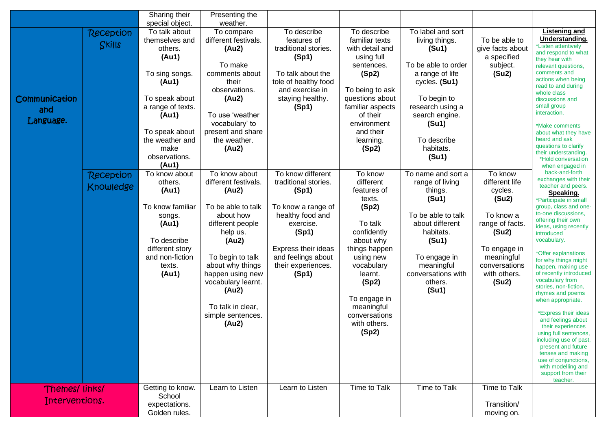|                                   |                               | Sharing their<br>special object.                                                                                                                                                                      | Presenting the<br>weather.                                                                                                                                                                                                                                               |                                                                                                                                                                                                |                                                                                                                                                                                                                                       |                                                                                                                                                                                                                         |                                                                                                                                                                |                                                                                                                                                                                                                                                                                                                                                                                                                                                                                                                                                                                                                                                                     |
|-----------------------------------|-------------------------------|-------------------------------------------------------------------------------------------------------------------------------------------------------------------------------------------------------|--------------------------------------------------------------------------------------------------------------------------------------------------------------------------------------------------------------------------------------------------------------------------|------------------------------------------------------------------------------------------------------------------------------------------------------------------------------------------------|---------------------------------------------------------------------------------------------------------------------------------------------------------------------------------------------------------------------------------------|-------------------------------------------------------------------------------------------------------------------------------------------------------------------------------------------------------------------------|----------------------------------------------------------------------------------------------------------------------------------------------------------------|---------------------------------------------------------------------------------------------------------------------------------------------------------------------------------------------------------------------------------------------------------------------------------------------------------------------------------------------------------------------------------------------------------------------------------------------------------------------------------------------------------------------------------------------------------------------------------------------------------------------------------------------------------------------|
| Communication<br>and<br>Language. | <b>Reception</b><br>Skills    | To talk about<br>themselves and<br>others.<br>(Au1)<br>To sing songs.<br>(Au1)<br>To speak about<br>a range of texts.<br>(Au1)<br>To speak about<br>the weather and<br>make<br>observations.<br>(Au1) | To compare<br>different festivals.<br>(Au2)<br>To make<br>comments about<br>their<br>observations.<br>(Au2)<br>To use 'weather<br>vocabulary' to<br>present and share<br>the weather.<br>(Au2)                                                                           | To describe<br>features of<br>traditional stories.<br>(Sp1)<br>To talk about the<br>tole of healthy food<br>and exercise in<br>staying healthy.<br>(Sp1)                                       | To describe<br>familiar texts<br>with detail and<br>using full<br>sentences.<br>(Sp2)<br>To being to ask<br>questions about<br>familiar aspects<br>of their<br>environment<br>and their<br>learning.<br>(Sp2)                         | To label and sort<br>living things.<br>(Su1)<br>To be able to order<br>a range of life<br>cycles. (Su1)<br>To begin to<br>research using a<br>search engine.<br>(S <sub>u</sub> 1)<br>To describe<br>habitats.<br>(Su1) | To be able to<br>give facts about<br>a specified<br>subject.<br>(Su2)                                                                                          | <b>Listening and</b><br>Understanding.<br>*Listen attentively<br>and respond to what<br>they hear with<br>relevant questions,<br>comments and<br>actions when being<br>read to and during<br>whole class<br>discussions and<br>small group<br>interaction.<br>*Make comments<br>about what they have<br>heard and ask<br>questions to clarify<br>their understanding.<br>*Hold conversation<br>when engaged in                                                                                                                                                                                                                                                      |
|                                   | <b>Reception</b><br>Knowledge | To know about<br>others.<br>(Au1)<br>To know familiar<br>songs.<br>(Au1)<br>To describe<br>different story<br>and non-fiction<br>texts.<br>(Au1)                                                      | To know about<br>different festivals.<br>(Au2)<br>To be able to talk<br>about how<br>different people<br>help us.<br>(Au2)<br>To begin to talk<br>about why things<br>happen using new<br>vocabulary learnt.<br>(Au2)<br>To talk in clear,<br>simple sentences.<br>(Au2) | To know different<br>traditional stories.<br>(Sp1)<br>To know a range of<br>healthy food and<br>exercise.<br>(Sp1)<br>Express their ideas<br>and feelings about<br>their experiences.<br>(Sp1) | To know<br>different<br>features of<br>texts.<br>(Sp2)<br>To talk<br>confidently<br>about why<br>things happen<br>using new<br>vocabulary<br>learnt.<br>(Sp2)<br>To engage in<br>meaningful<br>conversations<br>with others.<br>(Sp2) | To name and sort a<br>range of living<br>things.<br>(Su1)<br>To be able to talk<br>about different<br>habitats.<br>(Su1)<br>To engage in<br>meaningful<br>conversations with<br>others.<br>(Su1)                        | To know<br>different life<br>cycles.<br>(Su2)<br>To know a<br>range of facts.<br>(Su2)<br>To engage in<br>meaningful<br>conversations<br>with others.<br>(Su2) | back-and-forth<br>exchanges with their<br>teacher and peers.<br>Speaking.<br>*Participate in small<br>group, class and one-<br>to-one discussions,<br>offering their own<br>ideas, using recently<br>introduced<br>vocabulary.<br>*Offer explanations<br>for why things might<br>happen, making use<br>of recently introduced<br>vocabulary from<br>stories, non-fiction,<br>rhymes and poems<br>when appropriate.<br>*Express their ideas<br>and feelings about<br>their experiences<br>using full sentences,<br>including use of past,<br>present and future<br>tenses and making<br>use of conjunctions,<br>with modelling and<br>support from their<br>teacher. |
| Themes/links/<br>Interventions.   |                               | Getting to know.<br>School<br>expectations.<br>Golden rules.                                                                                                                                          | Learn to Listen                                                                                                                                                                                                                                                          | Learn to Listen                                                                                                                                                                                | Time to Talk                                                                                                                                                                                                                          | Time to Talk                                                                                                                                                                                                            | Time to Talk<br>Transition/<br>moving on.                                                                                                                      |                                                                                                                                                                                                                                                                                                                                                                                                                                                                                                                                                                                                                                                                     |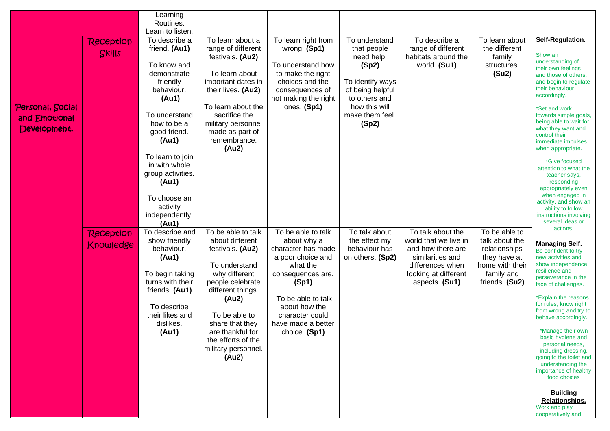|                                                   |                               | Learning<br>Routines.<br>Learn to listen.                                                                                                                                                                                                                                                       |                                                                                                                                                                                                                                                             |                                                                                                                                                                                                                         |                                                                                                                                                           |                                                                                                                                                   |                                                                                                                     |                                                                                                                                                                                                                                                                                                                                                                                                                                                                                                                               |
|---------------------------------------------------|-------------------------------|-------------------------------------------------------------------------------------------------------------------------------------------------------------------------------------------------------------------------------------------------------------------------------------------------|-------------------------------------------------------------------------------------------------------------------------------------------------------------------------------------------------------------------------------------------------------------|-------------------------------------------------------------------------------------------------------------------------------------------------------------------------------------------------------------------------|-----------------------------------------------------------------------------------------------------------------------------------------------------------|---------------------------------------------------------------------------------------------------------------------------------------------------|---------------------------------------------------------------------------------------------------------------------|-------------------------------------------------------------------------------------------------------------------------------------------------------------------------------------------------------------------------------------------------------------------------------------------------------------------------------------------------------------------------------------------------------------------------------------------------------------------------------------------------------------------------------|
| Personal, Social<br>and Emotional<br>Development. | <b>Reception</b><br>Skills    | To describe a<br>friend. (Au1)<br>To know and<br>demonstrate<br>friendly<br>behaviour.<br>(Au1)<br>To understand<br>how to be a<br>good friend.<br>(Au1)<br>To learn to join<br>in with whole<br>group activities.<br>(Au1)<br>To choose an<br>activity<br>independently.<br>(A <sub>u</sub> 1) | To learn about a<br>range of different<br>festivals. (Au2)<br>To learn about<br>important dates in<br>their lives. (Au2)<br>To learn about the<br>sacrifice the<br>military personnel<br>made as part of<br>remembrance.<br>(Au2)                           | To learn right from<br>wrong. (Sp1)<br>To understand how<br>to make the right<br>choices and the<br>consequences of<br>not making the right<br>ones. (Sp1)                                                              | To understand<br>that people<br>need help.<br>(Sp2)<br>To identify ways<br>of being helpful<br>to others and<br>how this will<br>make them feel.<br>(Sp2) | To describe a<br>range of different<br>habitats around the<br>world. (Su1)                                                                        | To learn about<br>the different<br>family<br>structures.<br>(Su2)                                                   | Self-Regulation.<br>Show an<br>understanding of<br>their own feelings<br>and those of others,<br>and begin to regulate<br>their behaviour<br>accordingly.<br>*Set and work<br>towards simple goals,<br>being able to wait for<br>what they want and<br>control their<br>immediate impulses<br>when appropriate.<br>*Give focused<br>attention to what the<br>teacher says,<br>responding<br>appropriately even<br>when engaged in<br>activity, and show an<br>ability to follow<br>instructions involving<br>several ideas or |
|                                                   | <b>Reception</b><br>Knowledge | To describe and<br>show friendly<br>behaviour.<br>(Au1)<br>To begin taking<br>turns with their<br>friends. (Au1)<br>To describe<br>their likes and<br>dislikes.<br>(Au1)                                                                                                                        | To be able to talk<br>about different<br>festivals. (Au2)<br>To understand<br>why different<br>people celebrate<br>different things.<br>(Au2)<br>To be able to<br>share that they<br>are thankful for<br>the efforts of the<br>military personnel.<br>(Au2) | To be able to talk<br>about why a<br>character has made<br>a poor choice and<br>what the<br>consequences are.<br>(Sp1)<br>To be able to talk<br>about how the<br>character could<br>have made a better<br>choice. (Sp1) | $\overline{To}$ talk about<br>the effect my<br>behaviour has<br>on others. (Sp2)                                                                          | To talk about the<br>world that we live in<br>and how there are<br>similarities and<br>differences when<br>looking at different<br>aspects. (Su1) | To be able to<br>talk about the<br>relationships<br>they have at<br>home with their<br>family and<br>friends. (Su2) | actions.<br><b>Managing Self.</b><br>Be confident to try<br>new activities and<br>show independence,<br>resilience and<br>perseverance in the<br>face of challenges.<br>*Explain the reasons<br>for rules, know right<br>from wrong and try to<br>behave accordingly.<br>*Manage their own<br>basic hygiene and<br>personal needs,<br>including dressing,<br>going to the toilet and<br>understanding the<br>importance of healthy<br>food choices<br><b>Building</b><br>Relationships.<br>Work and play<br>cooperatively and |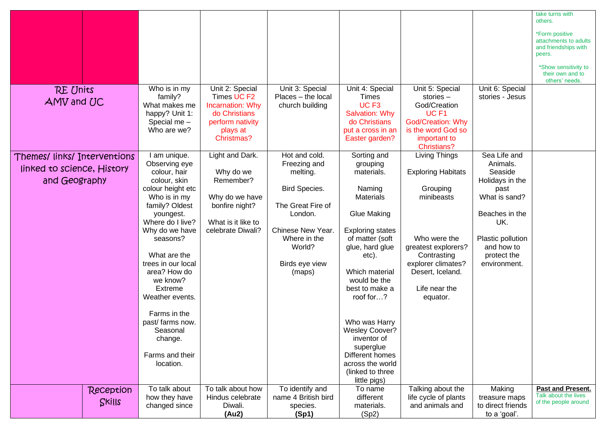| <b>RE Units</b><br>AMV and UC                                               | Who is in my<br>family?<br>What makes me                                                                                                                                                                                                                                                                                                                                            | Unit 2: Special<br>Times UC F2<br>Incarnation: Why                                                                       | Unit 3: Special<br>Places - the local<br>church building                                                                                                              | Unit 4: Special<br><b>Times</b><br>UC <sub>F3</sub>                                                                                                                                                                                                                                                                                                                                   | Unit 5: Special<br>stories-<br>God/Creation                                                                                                                                                              | Unit 6: Special<br>stories - Jesus                                                                                                                                         | take turns with<br>others.<br>*Form positive<br>attachments to adults<br>and friendships with<br>peers.<br>*Show sensitivity to<br>their own and to<br>others' needs. |
|-----------------------------------------------------------------------------|-------------------------------------------------------------------------------------------------------------------------------------------------------------------------------------------------------------------------------------------------------------------------------------------------------------------------------------------------------------------------------------|--------------------------------------------------------------------------------------------------------------------------|-----------------------------------------------------------------------------------------------------------------------------------------------------------------------|---------------------------------------------------------------------------------------------------------------------------------------------------------------------------------------------------------------------------------------------------------------------------------------------------------------------------------------------------------------------------------------|----------------------------------------------------------------------------------------------------------------------------------------------------------------------------------------------------------|----------------------------------------------------------------------------------------------------------------------------------------------------------------------------|-----------------------------------------------------------------------------------------------------------------------------------------------------------------------|
|                                                                             | happy? Unit 1:<br>Special me -<br>Who are we?                                                                                                                                                                                                                                                                                                                                       | do Christians<br>perform nativity<br>plays at<br>Christmas?                                                              |                                                                                                                                                                       | Salvation: Why<br>do Christians<br>put a cross in an<br>Easter garden?                                                                                                                                                                                                                                                                                                                | UC <sub>F1</sub><br><b>God/Creation: Why</b><br>is the word God so<br>important to<br><b>Christians?</b>                                                                                                 |                                                                                                                                                                            |                                                                                                                                                                       |
| Themes/ links/ Interventions<br>linked to science, History<br>and Geography | am unique.<br>Observing eye<br>colour, hair<br>colour, skin<br>colour height etc<br>Who is in my<br>family? Oldest<br>youngest.<br>Where do I live?<br>Why do we have<br>seasons?<br>What are the<br>trees in our local<br>area? How do<br>we know?<br><b>Extreme</b><br>Weather events.<br>Farms in the<br>past/ farms now.<br>Seasonal<br>change.<br>Farms and their<br>location. | Light and Dark.<br>Why do we<br>Remember?<br>Why do we have<br>bonfire night?<br>What is it like to<br>celebrate Diwali? | Hot and cold.<br>Freezing and<br>melting.<br>Bird Species.<br>The Great Fire of<br>London.<br>Chinese New Year.<br>Where in the<br>World?<br>Birds eye view<br>(maps) | Sorting and<br>grouping<br>materials.<br>Naming<br><b>Materials</b><br><b>Glue Making</b><br><b>Exploring states</b><br>of matter (soft<br>glue, hard glue<br>etc).<br>Which material<br>would be the<br>best to make a<br>roof for?<br>Who was Harry<br><b>Wesley Coover?</b><br>inventor of<br>superglue<br>Different homes<br>across the world<br>(linked to three<br>little pigs) | <b>Living Things</b><br><b>Exploring Habitats</b><br>Grouping<br>minibeasts<br>Who were the<br>greatest explorers?<br>Contrasting<br>explorer climates?<br>Desert, Iceland.<br>Life near the<br>equator. | Sea Life and<br>Animals.<br>Seaside<br>Holidays in the<br>past<br>What is sand?<br>Beaches in the<br>UK.<br>Plastic pollution<br>and how to<br>protect the<br>environment. |                                                                                                                                                                       |
| Reception<br>Skills                                                         | To talk about<br>how they have<br>changed since                                                                                                                                                                                                                                                                                                                                     | To talk about how<br>Hindus celebrate<br>Diwali.<br>(Au2)                                                                | To identify and<br>name 4 British bird<br>species.<br>(Sp1)                                                                                                           | To name<br>different<br>materials.<br>(Sp2)                                                                                                                                                                                                                                                                                                                                           | Talking about the<br>life cycle of plants<br>and animals and                                                                                                                                             | Making<br>treasure maps<br>to direct friends<br>to a 'goal'.                                                                                                               | <b>Past and Present.</b><br>Talk about the lives<br>of the people around                                                                                              |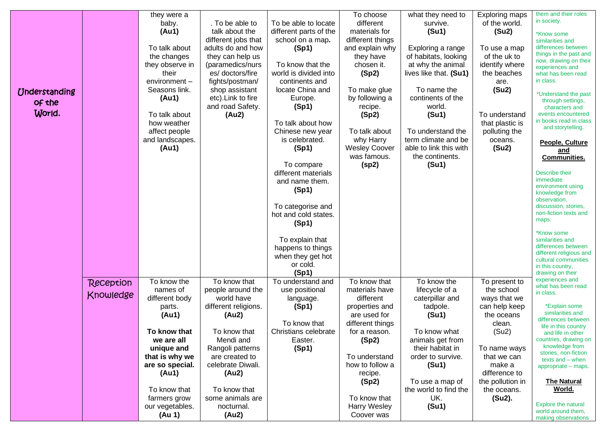| <b>Understanding</b><br>of the<br>World. |                        | they were a<br>baby.<br>(Au1)<br>To talk about<br>the changes<br>they observe in<br>their<br>environment-<br>Seasons link.<br>(Au1)<br>To talk about<br>how weather<br>affect people<br>and landscapes.<br>(Au1) | . To be able to<br>talk about the<br>different jobs that<br>adults do and how<br>they can help us<br>(paramedics/nurs<br>es/doctors/fire<br>fights/postman/<br>shop assistant<br>etc). Link to fire<br>and road Safety.<br>(Au2) | To be able to locate<br>different parts of the<br>school on a map.<br>(Sp1)<br>To know that the<br>world is divided into<br>continents and<br>locate China and<br>Europe.<br>(Sp1)<br>To talk about how<br>Chinese new year<br>is celebrated.<br>(Sp1)<br>To compare<br>different materials<br>and name them.<br>(Sp1)<br>To categorise and<br>hot and cold states.<br>(Sp1) | To choose<br>different<br>materials for<br>different things<br>and explain why<br>they have<br>chosen it.<br>(Sp2)<br>To make glue<br>by following a<br>recipe.<br>(Sp2)<br>To talk about<br>why Harry<br><b>Wesley Coover</b><br>was famous.<br>(sp2) | what they need to<br>survive.<br>(Su1)<br>Exploring a range<br>of habitats, looking<br>at why the animal<br>lives like that. (Su1)<br>To name the<br>continents of the<br>world.<br>(Su1)<br>To understand the<br>term climate and be<br>able to link this with<br>the continents.<br>(Su1) | <b>Exploring maps</b><br>of the world.<br>(Su2)<br>To use a map<br>of the uk to<br>identify where<br>the beaches<br>are.<br>(Su2)<br>To understand<br>that plastic is<br>polluting the<br>oceans.<br>(Su2) | them and their roles<br>in society.<br>*Know some<br>similarities and<br>differences between<br>things in the past and<br>now, drawing on their<br>experiences and<br>what has been read<br>in class.<br>*Understand the past<br>through settings,<br>characters and<br>events encountered<br>in books read in class<br>and storytelling.<br>People, Culture<br>and<br><b>Communities.</b><br>Describe their<br>immediate<br>environment using<br>knowledge from<br>observation,<br>discussion, stories,<br>non-fiction texts and<br>maps. |
|------------------------------------------|------------------------|------------------------------------------------------------------------------------------------------------------------------------------------------------------------------------------------------------------|----------------------------------------------------------------------------------------------------------------------------------------------------------------------------------------------------------------------------------|------------------------------------------------------------------------------------------------------------------------------------------------------------------------------------------------------------------------------------------------------------------------------------------------------------------------------------------------------------------------------|--------------------------------------------------------------------------------------------------------------------------------------------------------------------------------------------------------------------------------------------------------|---------------------------------------------------------------------------------------------------------------------------------------------------------------------------------------------------------------------------------------------------------------------------------------------|------------------------------------------------------------------------------------------------------------------------------------------------------------------------------------------------------------|--------------------------------------------------------------------------------------------------------------------------------------------------------------------------------------------------------------------------------------------------------------------------------------------------------------------------------------------------------------------------------------------------------------------------------------------------------------------------------------------------------------------------------------------|
|                                          | Reception<br>Knowledge | To know the<br>names of<br>different body<br>parts.<br>(Au1)<br>To know that<br>we are all                                                                                                                       | To know that<br>people around the<br>world have<br>different religions.<br>(Au2)<br>To know that<br>Mendi and                                                                                                                    | To explain that<br>happens to things<br>when they get hot<br>or cold.<br>(Sp1)<br>To understand and<br>use positional<br>language.<br>(Sp1)<br>To know that<br>Christians celebrate<br>Easter.                                                                                                                                                                               | To know that<br>materials have<br>different<br>properties and<br>are used for<br>different things<br>for a reason<br>(Sp2)                                                                                                                             | To know the<br>lifecycle of a<br>caterpillar and<br>tadpole.<br>(Su1)<br>To know what<br>animals get from                                                                                                                                                                                   | To present to<br>the school<br>ways that we<br>can help keep<br>the oceans<br>clean.<br>(Su2)                                                                                                              | *Know some<br>similarities and<br>differences between<br>different religious and<br>cultural communities<br>in this country,<br>drawing on their<br>experiences and<br>what has been read<br>in class.<br>*Explain some<br>similarities and<br>differences between<br>life in this country<br>and life in other<br>countries, drawing on                                                                                                                                                                                                   |
|                                          |                        | unique and<br>that is why we<br>are so special.<br>(Au1)<br>To know that<br>farmers grow<br>our vegetables.<br>(Au 1)                                                                                            | Rangoli patterns<br>are created to<br>celebrate Diwali.<br>(Au2)<br>To know that<br>some animals are<br>nocturnal.<br>(Au2)                                                                                                      | (Sp1)                                                                                                                                                                                                                                                                                                                                                                        | To understand<br>how to follow a<br>recipe.<br>(Sp2)<br>To know that<br><b>Harry Wesley</b><br>Coover was                                                                                                                                              | their habitat in<br>order to survive.<br>(Su1)<br>To use a map of<br>the world to find the<br>UK.<br>(Su1)                                                                                                                                                                                  | To name ways<br>that we can<br>make a<br>difference to<br>the pollution in<br>the oceans.<br>(Su2).                                                                                                        | knowledge from<br>stories, non-fiction<br>texts and - when<br>appropriate – maps.<br><b>The Natural</b><br><u>World.</u><br><b>Explore the natural</b><br>world around them.<br>making observations                                                                                                                                                                                                                                                                                                                                        |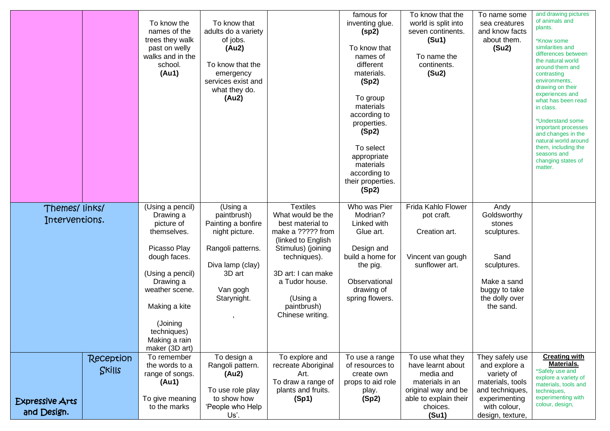|                                 |           | To know the<br>names of the<br>trees they walk<br>past on welly<br>walks and in the<br>school.<br>(Au1) | To know that<br>adults do a variety<br>of jobs.<br>(Au2)<br>To know that the<br>emergency<br>services exist and<br>what they do.<br>(Au2) |                                                          | famous for<br>inventing glue.<br>(sp2)<br>To know that<br>names of<br>different<br>materials.<br>(Sp2)<br>To group<br>materials<br>according to<br>properties.<br>(Sp2)<br>To select<br>appropriate<br>materials<br>according to<br>their properties.<br>(Sp2) | To know that the<br>world is split into<br>seven continents.<br>(Su1)<br>To name the<br>continents.<br>(Su2) | To name some<br>sea creatures<br>and know facts<br>about them.<br>(Su2) | and drawing pictures<br>of animals and<br>plants.<br>*Know some<br>similarities and<br>differences between<br>the natural world<br>around them and<br>contrasting<br>environments,<br>drawing on their<br>experiences and<br>what has been read<br>in class.<br>*Understand some<br>important processes<br>and changes in the<br>natural world around<br>them, including the<br>seasons and<br>changing states of<br>matter. |
|---------------------------------|-----------|---------------------------------------------------------------------------------------------------------|-------------------------------------------------------------------------------------------------------------------------------------------|----------------------------------------------------------|----------------------------------------------------------------------------------------------------------------------------------------------------------------------------------------------------------------------------------------------------------------|--------------------------------------------------------------------------------------------------------------|-------------------------------------------------------------------------|------------------------------------------------------------------------------------------------------------------------------------------------------------------------------------------------------------------------------------------------------------------------------------------------------------------------------------------------------------------------------------------------------------------------------|
| Themes/links/<br>Interventions. |           | (Using a pencil)<br>Drawing a<br>picture of                                                             | $\overline{(\mathsf{Using}\, a)}$<br>paintbrush)<br>Painting a bonfire                                                                    | <b>Textiles</b><br>What would be the<br>best material to | Who was Pier<br>Modrian?<br>Linked with                                                                                                                                                                                                                        | Frida Kahlo Flower<br>pot craft.                                                                             | Andy<br>Goldsworthy<br>stones                                           |                                                                                                                                                                                                                                                                                                                                                                                                                              |
|                                 |           | themselves.                                                                                             | night picture.                                                                                                                            | make a ????? from<br>(linked to English                  | Glue art.                                                                                                                                                                                                                                                      | Creation art.                                                                                                | sculptures.                                                             |                                                                                                                                                                                                                                                                                                                                                                                                                              |
|                                 |           | Picasso Play<br>dough faces.                                                                            | Rangoli patterns.<br>Diva lamp (clay)                                                                                                     | Stimulus) (joining<br>techniques).                       | Design and<br>build a home for<br>the pig.                                                                                                                                                                                                                     | Vincent van gough<br>sunflower art.                                                                          | Sand<br>sculptures.                                                     |                                                                                                                                                                                                                                                                                                                                                                                                                              |
|                                 |           | (Using a pencil)<br>Drawing a                                                                           | 3D art                                                                                                                                    | 3D art: I can make<br>a Tudor house.                     | Observational                                                                                                                                                                                                                                                  |                                                                                                              | Make a sand                                                             |                                                                                                                                                                                                                                                                                                                                                                                                                              |
|                                 |           | weather scene.<br>Making a kite                                                                         | Van gogh<br>Starynight.                                                                                                                   | (Using a<br>paintbrush)                                  | drawing of<br>spring flowers.                                                                                                                                                                                                                                  |                                                                                                              | buggy to take<br>the dolly over<br>the sand.                            |                                                                                                                                                                                                                                                                                                                                                                                                                              |
|                                 |           | (Joining                                                                                                |                                                                                                                                           | Chinese writing.                                         |                                                                                                                                                                                                                                                                |                                                                                                              |                                                                         |                                                                                                                                                                                                                                                                                                                                                                                                                              |
|                                 |           | techniques)<br>Making a rain<br>maker (3D art)                                                          |                                                                                                                                           |                                                          |                                                                                                                                                                                                                                                                |                                                                                                              |                                                                         |                                                                                                                                                                                                                                                                                                                                                                                                                              |
|                                 | Reception | To remember                                                                                             | To design a                                                                                                                               | To explore and                                           | To use a range                                                                                                                                                                                                                                                 | To use what they                                                                                             | They safely use                                                         | <b>Creating with</b>                                                                                                                                                                                                                                                                                                                                                                                                         |
|                                 | Skills    | the words to a                                                                                          | Rangoli pattern.                                                                                                                          | recreate Aboriginal                                      | of resources to                                                                                                                                                                                                                                                | have learnt about                                                                                            | and explore a                                                           | <b>Materials.</b><br>*Safely use and                                                                                                                                                                                                                                                                                                                                                                                         |
|                                 |           | range of songs.<br>(Au1)                                                                                | (Au2)                                                                                                                                     | Art.<br>To draw a range of                               | create own<br>props to aid role                                                                                                                                                                                                                                | media and<br>materials in an                                                                                 | variety of<br>materials, tools                                          | explore a variety of                                                                                                                                                                                                                                                                                                                                                                                                         |
|                                 |           |                                                                                                         | To use role play                                                                                                                          | plants and fruits.                                       | play.                                                                                                                                                                                                                                                          | original way and be                                                                                          | and techniques,                                                         | materials, tools and<br>techniques,                                                                                                                                                                                                                                                                                                                                                                                          |
| <b>Expressive Arts</b>          |           | To give meaning                                                                                         | to show how                                                                                                                               | (Sp1)                                                    | (Sp2)                                                                                                                                                                                                                                                          | able to explain their                                                                                        | experimenting                                                           | experimenting with                                                                                                                                                                                                                                                                                                                                                                                                           |
| and Design.                     |           | to the marks                                                                                            | 'People who Help                                                                                                                          |                                                          |                                                                                                                                                                                                                                                                | choices.                                                                                                     | with colour,                                                            | colour, design,                                                                                                                                                                                                                                                                                                                                                                                                              |
|                                 |           |                                                                                                         | Us'.                                                                                                                                      |                                                          |                                                                                                                                                                                                                                                                | (Su1)                                                                                                        | design, texture,                                                        |                                                                                                                                                                                                                                                                                                                                                                                                                              |